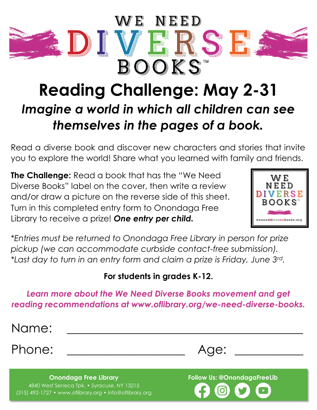

## **Reading Challenge: May 2-31** *Imagine a world in which all children can see themselves in the pages of a book.*

Read a diverse book and discover new characters and stories that invite you to explore the world! Share what you learned with family and friends.

**The Challenge:** Read a book that has the "We Need Diverse Books" label on the cover, then write a review and/or draw a picture on the reverse side of this sheet. Turn in this completed entry form to Onondaga Free Library to receive a prize! *One entry per child.*



*\*Entries must be returned to Onondaga Free Library in person for prize pickup (we can accommodate curbside contact-free submission). \*Last day to turn in an entry form and claim a prize is Friday, June 3rd.*

### **For students in grades K-12.**

#### *Learn more about the We Need Diverse Books movement and get reading recommendations at www.oflibrary.org/we-need-diverse-books.*

Name: \_\_\_\_\_\_\_\_\_\_\_\_\_\_\_\_\_\_\_\_\_\_\_\_\_\_\_\_\_\_\_\_\_\_\_\_\_\_

Phone: \_\_\_\_\_\_\_\_\_\_\_\_\_\_\_\_\_\_\_ Age: \_\_\_\_\_\_\_\_\_\_\_

**Onondaga Free Library** 4840 West Seneca Tpk. • Syracuse, NY 13215 (315) 492-1727 • www.oflibrary.org • info@oflibrary.org **Follow Us: @OnondagaFreeLib**